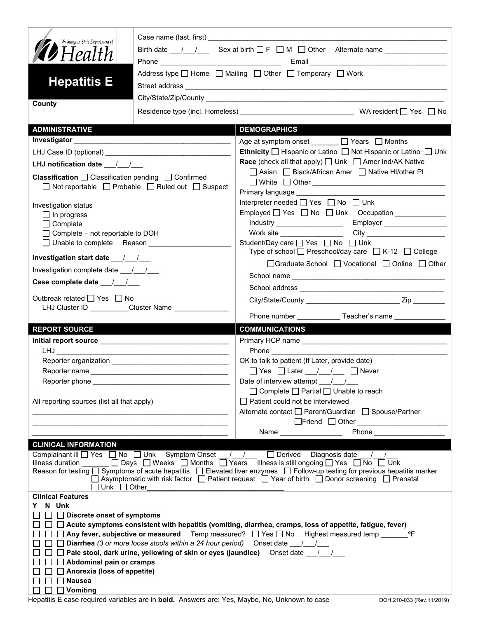| Washington State Department of                                        |                                                                                           |                                                                                                                                                                                                                                                                |  |  |  |
|-----------------------------------------------------------------------|-------------------------------------------------------------------------------------------|----------------------------------------------------------------------------------------------------------------------------------------------------------------------------------------------------------------------------------------------------------------|--|--|--|
| <b>D</b> Health                                                       |                                                                                           | Birth date $\frac{1}{1}$ / Sex at birth $\Box$ F $\Box$ M $\Box$ Other Alternate name $\Box$                                                                                                                                                                   |  |  |  |
| <b>Hepatitis E</b>                                                    | Address type   Home   Mailing   Other   Temporary   Work                                  |                                                                                                                                                                                                                                                                |  |  |  |
|                                                                       |                                                                                           |                                                                                                                                                                                                                                                                |  |  |  |
| County                                                                |                                                                                           |                                                                                                                                                                                                                                                                |  |  |  |
|                                                                       |                                                                                           |                                                                                                                                                                                                                                                                |  |  |  |
| <b>ADMINISTRATIVE</b>                                                 |                                                                                           | <b>DEMOGRAPHICS</b>                                                                                                                                                                                                                                            |  |  |  |
|                                                                       |                                                                                           | Age at symptom onset <u>January D</u> Years D Months                                                                                                                                                                                                           |  |  |  |
|                                                                       |                                                                                           | <b>Ethnicity</b> $\Box$ Hispanic or Latino $\Box$ Not Hispanic or Latino $\Box$ Unk                                                                                                                                                                            |  |  |  |
| LHJ notification date $\frac{1}{\sqrt{2}}$                            |                                                                                           | <b>Race</b> (check all that apply) $\Box$ Unk $\Box$ Amer Ind/AK Native<br>□ Asian □ Black/African Amer □ Native HI/other PI                                                                                                                                   |  |  |  |
| <b>Classification</b> $\Box$ Classification pending $\Box$ Confirmed  |                                                                                           |                                                                                                                                                                                                                                                                |  |  |  |
| $\Box$ Not reportable $\Box$ Probable $\Box$ Ruled out $\Box$ Suspect |                                                                                           | Primary language __________                                                                                                                                                                                                                                    |  |  |  |
| Investigation status                                                  |                                                                                           | Interpreter needed □ Yes □ No □ Unk                                                                                                                                                                                                                            |  |  |  |
| $\Box$ In progress                                                    |                                                                                           | Employed Yes No Unk Occupation                                                                                                                                                                                                                                 |  |  |  |
| $\Box$ Complete                                                       |                                                                                           | Industry _____________________<br>Employer                                                                                                                                                                                                                     |  |  |  |
| $\Box$ Complete – not reportable to DOH                               |                                                                                           |                                                                                                                                                                                                                                                                |  |  |  |
| □ Unable to complete Reason ________________                          |                                                                                           | Student/Day care □ Yes □ No □ Unk<br>Type of school □ Preschool/day care □ K-12 □ College                                                                                                                                                                      |  |  |  |
|                                                                       |                                                                                           | □ Graduate School □ Vocational □ Online □ Other                                                                                                                                                                                                                |  |  |  |
| Investigation complete date 11/1                                      |                                                                                           |                                                                                                                                                                                                                                                                |  |  |  |
| Case complete date 11                                                 |                                                                                           |                                                                                                                                                                                                                                                                |  |  |  |
| Outbreak related □ Yes □ No                                           |                                                                                           |                                                                                                                                                                                                                                                                |  |  |  |
|                                                                       | LHJ Cluster ID _________Cluster Name ____________                                         |                                                                                                                                                                                                                                                                |  |  |  |
| <b>REPORT SOURCE</b>                                                  |                                                                                           | <b>COMMUNICATIONS</b>                                                                                                                                                                                                                                          |  |  |  |
|                                                                       |                                                                                           |                                                                                                                                                                                                                                                                |  |  |  |
| LHJ <b>ANDIA</b>                                                      | the control of the control of the control of the control of the control of the control of |                                                                                                                                                                                                                                                                |  |  |  |
|                                                                       |                                                                                           | OK to talk to patient (If Later, provide date)                                                                                                                                                                                                                 |  |  |  |
|                                                                       |                                                                                           | $\Box$ Yes $\Box$ Later $\Box$ / $\Box$ Never                                                                                                                                                                                                                  |  |  |  |
| Reporter phone                                                        |                                                                                           | Date of interview attempt __ / /                                                                                                                                                                                                                               |  |  |  |
|                                                                       |                                                                                           |                                                                                                                                                                                                                                                                |  |  |  |
|                                                                       |                                                                                           | $\Box$ Complete $\Box$ Partial $\Box$ Unable to reach                                                                                                                                                                                                          |  |  |  |
| All reporting sources (list all that apply)                           |                                                                                           | Patient could not be interviewed                                                                                                                                                                                                                               |  |  |  |
|                                                                       |                                                                                           | Alternate contact □ Parent/Guardian □ Spouse/Partner                                                                                                                                                                                                           |  |  |  |
|                                                                       |                                                                                           |                                                                                                                                                                                                                                                                |  |  |  |
|                                                                       |                                                                                           | <b>Phone Contract Contract Contract Contract Contract Contract Contract Contract Contract Contract Contract Contract Contract Contract Contract Contract Contract Contract Contract Contract Contract Contract Contract Contra</b><br>Name ___________________ |  |  |  |
| <b>CLINICAL INFORMATION</b>                                           |                                                                                           |                                                                                                                                                                                                                                                                |  |  |  |
|                                                                       |                                                                                           | Complainant ill □ Yes □ No □ Unk Symptom Onset __/__/ __ □ Derived Diagnosis date __/__/<br>Illness duration ______ □ Days □ Weeks □ Months □ Years Illness is still ongoing □ Yes □ No □ Unk                                                                  |  |  |  |
|                                                                       |                                                                                           | Reason for testing $\Box$ Symptoms of acute hepatitis $\Box$ Elevated liver enzymes $\Box$ Follow-up testing for previous hepatitis marker                                                                                                                     |  |  |  |
| Unk $\Box$ Other                                                      |                                                                                           | □ Asymptomatic with risk factor □ Patient request □ Year of birth □ Donor screening □ Prenatal                                                                                                                                                                 |  |  |  |
| <b>Clinical Features</b>                                              |                                                                                           |                                                                                                                                                                                                                                                                |  |  |  |
| N Unk                                                                 |                                                                                           |                                                                                                                                                                                                                                                                |  |  |  |
| $\Box$ Discrete onset of symptoms                                     |                                                                                           |                                                                                                                                                                                                                                                                |  |  |  |
|                                                                       |                                                                                           | Acute symptoms consistent with hepatitis (vomiting, diarrhea, cramps, loss of appetite, fatigue, fever)<br>Any fever, subjective or measured Temp measured? $\Box$ Yes $\Box$ No Highest measured temp $\Box$<br>°F                                            |  |  |  |
|                                                                       | Diarrhea (3 or more loose stools within a 24 hour period) Onset date 11/2                 |                                                                                                                                                                                                                                                                |  |  |  |
|                                                                       |                                                                                           | Pale stool, dark urine, yellowing of skin or eyes (jaundice) Onset date / /                                                                                                                                                                                    |  |  |  |
| Abdominal pain or cramps                                              |                                                                                           |                                                                                                                                                                                                                                                                |  |  |  |
| Anorexia (loss of appetite)<br><b>Nausea</b>                          |                                                                                           |                                                                                                                                                                                                                                                                |  |  |  |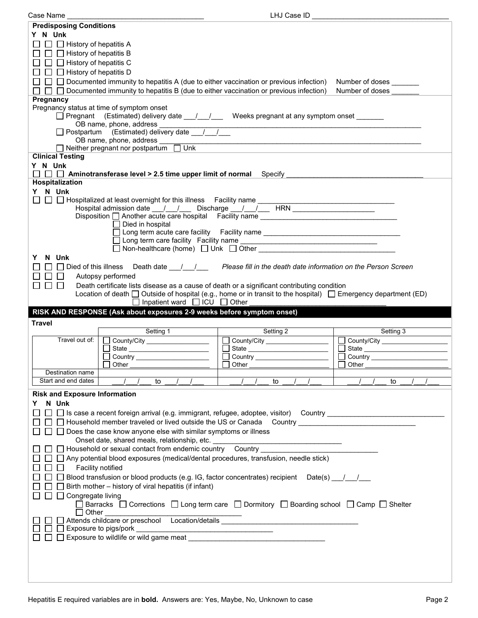| Case Name                                                                                                                                                                                                                                                                                                                                                                                         | LHJ Case ID _______________                                                                                                                                                                                                                                       |                 |  |  |  |  |
|---------------------------------------------------------------------------------------------------------------------------------------------------------------------------------------------------------------------------------------------------------------------------------------------------------------------------------------------------------------------------------------------------|-------------------------------------------------------------------------------------------------------------------------------------------------------------------------------------------------------------------------------------------------------------------|-----------------|--|--|--|--|
| <b>Predisposing Conditions</b>                                                                                                                                                                                                                                                                                                                                                                    |                                                                                                                                                                                                                                                                   |                 |  |  |  |  |
| Y N Unk                                                                                                                                                                                                                                                                                                                                                                                           |                                                                                                                                                                                                                                                                   |                 |  |  |  |  |
| $\Box$ History of hepatitis A<br>$\Box$                                                                                                                                                                                                                                                                                                                                                           |                                                                                                                                                                                                                                                                   |                 |  |  |  |  |
| $\Box$ History of hepatitis B                                                                                                                                                                                                                                                                                                                                                                     |                                                                                                                                                                                                                                                                   |                 |  |  |  |  |
| $\Box$ History of hepatitis C                                                                                                                                                                                                                                                                                                                                                                     |                                                                                                                                                                                                                                                                   |                 |  |  |  |  |
| □ History of hepatitis D                                                                                                                                                                                                                                                                                                                                                                          |                                                                                                                                                                                                                                                                   |                 |  |  |  |  |
|                                                                                                                                                                                                                                                                                                                                                                                                   | $\Box$ Documented immunity to hepatitis A (due to either vaccination or previous infection)<br>Number of doses                                                                                                                                                    |                 |  |  |  |  |
| $\Box$ Documented immunity to hepatitis B (due to either vaccination or previous infection)                                                                                                                                                                                                                                                                                                       |                                                                                                                                                                                                                                                                   | Number of doses |  |  |  |  |
| Pregnancy                                                                                                                                                                                                                                                                                                                                                                                         |                                                                                                                                                                                                                                                                   |                 |  |  |  |  |
| Pregnancy status at time of symptom onset<br>□ Pregnant (Estimated) delivery date / / / Weeks pregnant at any symptom onset ______                                                                                                                                                                                                                                                                |                                                                                                                                                                                                                                                                   |                 |  |  |  |  |
|                                                                                                                                                                                                                                                                                                                                                                                                   |                                                                                                                                                                                                                                                                   |                 |  |  |  |  |
| OB name, phone, address $\frac{1}{\sqrt{1-\frac{1}{1-\frac{1}{1-\frac{1}{1-\frac{1}{1-\frac{1}{1-\frac{1}{1-\frac{1}{1-\frac{1}{1-\frac{1}{1-\frac{1}{1-\frac{1}{1-\frac{1}{1-\frac{1}{1-\frac{1}{1-\frac{1}{1-\frac{1}{1-\frac{1}{1-\frac{1}{1-\frac{1}{1-\frac{1}{1-\frac{1}{1-\frac{1}{1-\frac{1}{1-\frac{1}{1-\frac{1}{1-\frac{1}{1-\frac{1}{1-\frac{1}{1-\frac{1}{1-\frac{1}{1-\frac{1}{1-\$ |                                                                                                                                                                                                                                                                   |                 |  |  |  |  |
|                                                                                                                                                                                                                                                                                                                                                                                                   |                                                                                                                                                                                                                                                                   |                 |  |  |  |  |
|                                                                                                                                                                                                                                                                                                                                                                                                   |                                                                                                                                                                                                                                                                   |                 |  |  |  |  |
| <b>Clinical Testing</b>                                                                                                                                                                                                                                                                                                                                                                           |                                                                                                                                                                                                                                                                   |                 |  |  |  |  |
| Y N Unk<br>$\Box$ $\Box$ Aminotransferase level > 2.5 time upper limit of normal Specify $\Box$                                                                                                                                                                                                                                                                                                   |                                                                                                                                                                                                                                                                   |                 |  |  |  |  |
| Hospitalization                                                                                                                                                                                                                                                                                                                                                                                   |                                                                                                                                                                                                                                                                   |                 |  |  |  |  |
| Y N Unk                                                                                                                                                                                                                                                                                                                                                                                           |                                                                                                                                                                                                                                                                   |                 |  |  |  |  |
| □ □ Hospitalized at least overnight for this illness Facility name ________________________________                                                                                                                                                                                                                                                                                               |                                                                                                                                                                                                                                                                   |                 |  |  |  |  |
| Hospital admission date __/__/___ Discharge __/__/___ HRN ______________________                                                                                                                                                                                                                                                                                                                  |                                                                                                                                                                                                                                                                   |                 |  |  |  |  |
| Disposition another acute care hospital Facility name ___________________________                                                                                                                                                                                                                                                                                                                 |                                                                                                                                                                                                                                                                   |                 |  |  |  |  |
| $\Box$ Died in hospital                                                                                                                                                                                                                                                                                                                                                                           |                                                                                                                                                                                                                                                                   |                 |  |  |  |  |
|                                                                                                                                                                                                                                                                                                                                                                                                   | □ Long term acute care facility Facility name __________________________________                                                                                                                                                                                  |                 |  |  |  |  |
|                                                                                                                                                                                                                                                                                                                                                                                                   | $\Box$ Non-healthcare (home) $\Box$ Unk $\Box$ Other $\Box$ Define $\Box$ Define $\Box$ Define $\Box$ Define $\Box$ Define $\Box$ Define $\Box$ Define $\Box$ Define $\Box$ Define $\Box$ Define $\Box$ Define $\Box$ Define $\Box$ Define $\Box$ Define $\Box$ D |                 |  |  |  |  |
| N Unk<br>Y.                                                                                                                                                                                                                                                                                                                                                                                       |                                                                                                                                                                                                                                                                   |                 |  |  |  |  |
| □ Died of this illness Death date <u>/ / /</u>                                                                                                                                                                                                                                                                                                                                                    | Please fill in the death date information on the Person Screen                                                                                                                                                                                                    |                 |  |  |  |  |
| $\Box$<br>Autopsy performed                                                                                                                                                                                                                                                                                                                                                                       |                                                                                                                                                                                                                                                                   |                 |  |  |  |  |
| П<br>$\Box$<br>$\Box$<br>Death certificate lists disease as a cause of death or a significant contributing condition                                                                                                                                                                                                                                                                              |                                                                                                                                                                                                                                                                   |                 |  |  |  |  |
|                                                                                                                                                                                                                                                                                                                                                                                                   |                                                                                                                                                                                                                                                                   |                 |  |  |  |  |
| Location of death $\Box$ Outside of hospital (e.g., home or in transit to the hospital) $\Box$ Emergency department (ED)                                                                                                                                                                                                                                                                          |                                                                                                                                                                                                                                                                   |                 |  |  |  |  |
| $\Box$ Inpatient ward $\Box$ ICU $\Box$ Other                                                                                                                                                                                                                                                                                                                                                     |                                                                                                                                                                                                                                                                   |                 |  |  |  |  |
| RISK AND RESPONSE (Ask about exposures 2-9 weeks before symptom onset)                                                                                                                                                                                                                                                                                                                            |                                                                                                                                                                                                                                                                   |                 |  |  |  |  |
| <b>Travel</b>                                                                                                                                                                                                                                                                                                                                                                                     |                                                                                                                                                                                                                                                                   |                 |  |  |  |  |
| Setting 1<br>Travel out of:                                                                                                                                                                                                                                                                                                                                                                       | Setting 2                                                                                                                                                                                                                                                         | Setting 3       |  |  |  |  |
| County/City ____________________                                                                                                                                                                                                                                                                                                                                                                  | $\Box$ County/City __________________                                                                                                                                                                                                                             | $\Box$          |  |  |  |  |
| Country                                                                                                                                                                                                                                                                                                                                                                                           | □ State ____________________<br>Country                                                                                                                                                                                                                           | Country         |  |  |  |  |
| Other                                                                                                                                                                                                                                                                                                                                                                                             | Other                                                                                                                                                                                                                                                             | Other           |  |  |  |  |
| Destination name                                                                                                                                                                                                                                                                                                                                                                                  |                                                                                                                                                                                                                                                                   |                 |  |  |  |  |
| Start and end dates<br>to                                                                                                                                                                                                                                                                                                                                                                         | to                                                                                                                                                                                                                                                                | to              |  |  |  |  |
| <b>Risk and Exposure Information</b>                                                                                                                                                                                                                                                                                                                                                              |                                                                                                                                                                                                                                                                   |                 |  |  |  |  |
| N Unk<br>Y.                                                                                                                                                                                                                                                                                                                                                                                       |                                                                                                                                                                                                                                                                   |                 |  |  |  |  |
| □ Is case a recent foreign arrival (e.g. immigrant, refugee, adoptee, visitor) Country ________________________                                                                                                                                                                                                                                                                                   |                                                                                                                                                                                                                                                                   |                 |  |  |  |  |
| □ Household member traveled or lived outside the US or Canada Country _____________________________                                                                                                                                                                                                                                                                                               |                                                                                                                                                                                                                                                                   |                 |  |  |  |  |
| Does the case know anyone else with similar symptoms or illness                                                                                                                                                                                                                                                                                                                                   |                                                                                                                                                                                                                                                                   |                 |  |  |  |  |
| Onset date, shared meals, relationship, etc.                                                                                                                                                                                                                                                                                                                                                      |                                                                                                                                                                                                                                                                   |                 |  |  |  |  |
| □ Household or sexual contact from endemic country                                                                                                                                                                                                                                                                                                                                                | $Country$ $\qquad$                                                                                                                                                                                                                                                |                 |  |  |  |  |
| $\Box$ Any potential blood exposures (medical/dental procedures, transfusion, needle stick)                                                                                                                                                                                                                                                                                                       |                                                                                                                                                                                                                                                                   |                 |  |  |  |  |
| Facility notified                                                                                                                                                                                                                                                                                                                                                                                 |                                                                                                                                                                                                                                                                   |                 |  |  |  |  |
| □ Blood transfusion or blood products (e.g. IG, factor concentrates) recipient Date(s) _/ _/                                                                                                                                                                                                                                                                                                      |                                                                                                                                                                                                                                                                   |                 |  |  |  |  |
| $\Box$ Birth mother – history of viral hepatitis (if infant)                                                                                                                                                                                                                                                                                                                                      |                                                                                                                                                                                                                                                                   |                 |  |  |  |  |
| □ Congregate living                                                                                                                                                                                                                                                                                                                                                                               |                                                                                                                                                                                                                                                                   |                 |  |  |  |  |
| $\Box$ Barracks $\Box$ Corrections $\Box$ Long term care $\Box$ Dormitory $\Box$ Boarding school $\Box$ Camp $\Box$ Shelter                                                                                                                                                                                                                                                                       |                                                                                                                                                                                                                                                                   |                 |  |  |  |  |
| $\Box$ Other                                                                                                                                                                                                                                                                                                                                                                                      |                                                                                                                                                                                                                                                                   |                 |  |  |  |  |
| $\Box$ Exposure to pigs/pork<br><u> 2000 - 2000 - 2000 - 2000 - 2000 - 2000 - 2000 - 2000 - 2000 - 2000 - 2000 - 2000 - 2000 - 2000 - 2000 - 200</u>                                                                                                                                                                                                                                              |                                                                                                                                                                                                                                                                   |                 |  |  |  |  |
|                                                                                                                                                                                                                                                                                                                                                                                                   |                                                                                                                                                                                                                                                                   |                 |  |  |  |  |
|                                                                                                                                                                                                                                                                                                                                                                                                   |                                                                                                                                                                                                                                                                   |                 |  |  |  |  |
|                                                                                                                                                                                                                                                                                                                                                                                                   |                                                                                                                                                                                                                                                                   |                 |  |  |  |  |

<u> 1980 - Johann Barbara, martxa a</u>

the control of the control of the control of the control of the control of the control of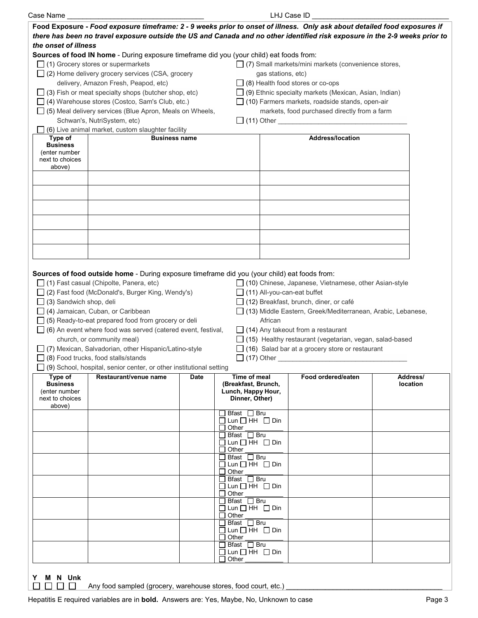| Case Name                                                                |                                                                                                                                                                                                                                                                                                                                                                                                                                                                                                                                                                                               |                                                   |                                                                     | LHJ Case ID                                                                                                                                                                                                                                                                                                                                             |          |  |
|--------------------------------------------------------------------------|-----------------------------------------------------------------------------------------------------------------------------------------------------------------------------------------------------------------------------------------------------------------------------------------------------------------------------------------------------------------------------------------------------------------------------------------------------------------------------------------------------------------------------------------------------------------------------------------------|---------------------------------------------------|---------------------------------------------------------------------|---------------------------------------------------------------------------------------------------------------------------------------------------------------------------------------------------------------------------------------------------------------------------------------------------------------------------------------------------------|----------|--|
|                                                                          | Food Exposure - Food exposure timeframe: 2 - 9 weeks prior to onset of illness. Only ask about detailed food exposures if<br>there has been no travel exposure outside the US and Canada and no other identified risk exposure in the 2-9 weeks prior to                                                                                                                                                                                                                                                                                                                                      |                                                   |                                                                     |                                                                                                                                                                                                                                                                                                                                                         |          |  |
| the onset of illness                                                     |                                                                                                                                                                                                                                                                                                                                                                                                                                                                                                                                                                                               |                                                   |                                                                     |                                                                                                                                                                                                                                                                                                                                                         |          |  |
|                                                                          | Sources of food IN home - During exposure timeframe did you (your child) eat foods from:                                                                                                                                                                                                                                                                                                                                                                                                                                                                                                      |                                                   |                                                                     |                                                                                                                                                                                                                                                                                                                                                         |          |  |
|                                                                          | $\Box$ (1) Grocery stores or supermarkets                                                                                                                                                                                                                                                                                                                                                                                                                                                                                                                                                     |                                                   |                                                                     | □ (7) Small markets/mini markets (convenience stores,                                                                                                                                                                                                                                                                                                   |          |  |
|                                                                          | $\Box$ (2) Home delivery grocery services (CSA, grocery                                                                                                                                                                                                                                                                                                                                                                                                                                                                                                                                       |                                                   |                                                                     | gas stations, etc)                                                                                                                                                                                                                                                                                                                                      |          |  |
|                                                                          | delivery, Amazon Fresh, Peapod, etc)                                                                                                                                                                                                                                                                                                                                                                                                                                                                                                                                                          |                                                   |                                                                     | $\Box$ (8) Health food stores or co-ops                                                                                                                                                                                                                                                                                                                 |          |  |
|                                                                          | $\Box$ (3) Fish or meat specialty shops (butcher shop, etc)                                                                                                                                                                                                                                                                                                                                                                                                                                                                                                                                   |                                                   |                                                                     | $\Box$ (9) Ethnic specialty markets (Mexican, Asian, Indian)                                                                                                                                                                                                                                                                                            |          |  |
|                                                                          |                                                                                                                                                                                                                                                                                                                                                                                                                                                                                                                                                                                               |                                                   |                                                                     | $\Box$ (10) Farmers markets, roadside stands, open-air                                                                                                                                                                                                                                                                                                  |          |  |
|                                                                          |                                                                                                                                                                                                                                                                                                                                                                                                                                                                                                                                                                                               | □ (4) Warehouse stores (Costco, Sam's Club, etc.) |                                                                     | markets, food purchased directly from a farm                                                                                                                                                                                                                                                                                                            |          |  |
|                                                                          | $\Box$ (5) Meal delivery services (Blue Apron, Meals on Wheels,                                                                                                                                                                                                                                                                                                                                                                                                                                                                                                                               |                                                   |                                                                     |                                                                                                                                                                                                                                                                                                                                                         |          |  |
|                                                                          | Schwan's, NutriSystem, etc)                                                                                                                                                                                                                                                                                                                                                                                                                                                                                                                                                                   |                                                   |                                                                     | $\Box$ (11) Other                                                                                                                                                                                                                                                                                                                                       |          |  |
|                                                                          | (6) Live animal market, custom slaughter facility<br><b>Business name</b>                                                                                                                                                                                                                                                                                                                                                                                                                                                                                                                     |                                                   |                                                                     |                                                                                                                                                                                                                                                                                                                                                         |          |  |
| Type of<br><b>Business</b><br>(enter number<br>next to choices<br>above) |                                                                                                                                                                                                                                                                                                                                                                                                                                                                                                                                                                                               |                                                   |                                                                     | <b>Address/location</b>                                                                                                                                                                                                                                                                                                                                 |          |  |
|                                                                          |                                                                                                                                                                                                                                                                                                                                                                                                                                                                                                                                                                                               |                                                   |                                                                     |                                                                                                                                                                                                                                                                                                                                                         |          |  |
|                                                                          |                                                                                                                                                                                                                                                                                                                                                                                                                                                                                                                                                                                               |                                                   |                                                                     |                                                                                                                                                                                                                                                                                                                                                         |          |  |
|                                                                          |                                                                                                                                                                                                                                                                                                                                                                                                                                                                                                                                                                                               |                                                   |                                                                     |                                                                                                                                                                                                                                                                                                                                                         |          |  |
| $\Box$ (3) Sandwich shop, deli                                           | Sources of food outside home - During exposure timeframe did you (your child) eat foods from:<br>$\Box$ (1) Fast casual (Chipolte, Panera, etc)<br>□ (2) Fast food (McDonald's, Burger King, Wendy's)<br>$\Box$ (4) Jamaican, Cuban, or Caribbean<br>$\Box$ (5) Ready-to-eat prepared food from grocery or deli<br>$\Box$ (6) An event where food was served (catered event, festival,<br>church, or community meal)<br>□ (7) Mexican, Salvadorian, other Hispanic/Latino-style<br>(8) Food trucks, food stalls/stands<br>(9) School, hospital, senior center, or other institutional setting |                                                   | $\Box$ (11) All-you-can-eat buffet<br>African<br>$\Box$ (17) Other  | $\Box$ (10) Chinese, Japanese, Vietnamese, other Asian-style<br>$\Box$ (12) Breakfast, brunch, diner, or café<br>□ (13) Middle Eastern, Greek/Mediterranean, Arabic, Lebanese,<br>$\Box$ (14) Any takeout from a restaurant<br>$\Box$ (15) Healthy restaurant (vegetarian, vegan, salad-based<br>$\Box$ (16) Salad bar at a grocery store or restaurant |          |  |
| Type of                                                                  | Restaurant/venue name                                                                                                                                                                                                                                                                                                                                                                                                                                                                                                                                                                         | <b>Date</b>                                       | Time of meal                                                        | Food ordered/eaten                                                                                                                                                                                                                                                                                                                                      | Address/ |  |
| <b>Business</b><br>(enter number<br>next to choices<br>above)            |                                                                                                                                                                                                                                                                                                                                                                                                                                                                                                                                                                                               |                                                   | (Breakfast, Brunch,<br>Lunch, Happy Hour,<br>Dinner, Other)         |                                                                                                                                                                                                                                                                                                                                                         | location |  |
|                                                                          |                                                                                                                                                                                                                                                                                                                                                                                                                                                                                                                                                                                               |                                                   | Bfast □ Bru<br>$\Box$ Lun $\Box$ HH $\Box$ Din<br>$\Box$ Other      |                                                                                                                                                                                                                                                                                                                                                         |          |  |
|                                                                          |                                                                                                                                                                                                                                                                                                                                                                                                                                                                                                                                                                                               | ΙI                                                | Bfast □ Bru<br>$\Box$ Lun $\Box$ HH $\Box$ Din<br>Other             |                                                                                                                                                                                                                                                                                                                                                         |          |  |
|                                                                          |                                                                                                                                                                                                                                                                                                                                                                                                                                                                                                                                                                                               |                                                   | Bfast □ Bru<br>$\Box$ Lun $\Box$ HH $\Box$ Din<br>Other             |                                                                                                                                                                                                                                                                                                                                                         |          |  |
|                                                                          |                                                                                                                                                                                                                                                                                                                                                                                                                                                                                                                                                                                               |                                                   | Bfast □ Bru<br>$\Box$ Lun $\Box$ HH $\Box$ Din<br>Other             |                                                                                                                                                                                                                                                                                                                                                         |          |  |
|                                                                          |                                                                                                                                                                                                                                                                                                                                                                                                                                                                                                                                                                                               | $\mathsf{L}$                                      | Bfast □ Bru<br>$\Box$ Lun $\Box$ HH $\Box$ Din<br>Other             |                                                                                                                                                                                                                                                                                                                                                         |          |  |
|                                                                          |                                                                                                                                                                                                                                                                                                                                                                                                                                                                                                                                                                                               |                                                   | Bfast $\Box$ Bru<br>$\Box$ Lun $\Box$ HH $\Box$ Din<br>$\Box$ Other |                                                                                                                                                                                                                                                                                                                                                         |          |  |
|                                                                          |                                                                                                                                                                                                                                                                                                                                                                                                                                                                                                                                                                                               |                                                   | Bfast □ Bru<br>$\Box$ Lun $\Box$ HH $\Box$ Din<br>Other             |                                                                                                                                                                                                                                                                                                                                                         |          |  |
| M N Unk<br>Y                                                             |                                                                                                                                                                                                                                                                                                                                                                                                                                                                                                                                                                                               |                                                   |                                                                     |                                                                                                                                                                                                                                                                                                                                                         |          |  |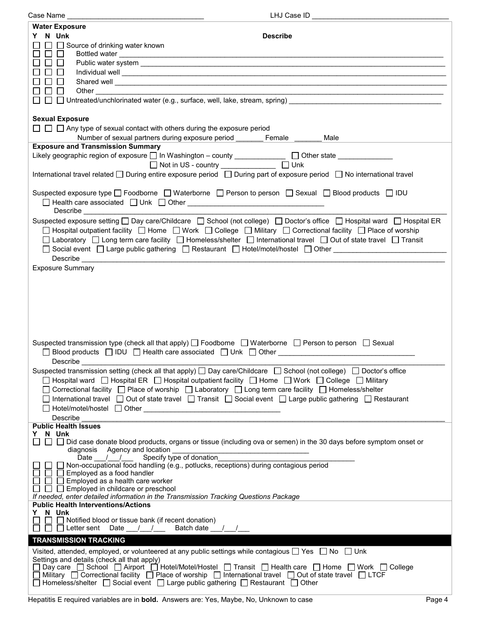| Case Name<br>LHJ Case ID __                                                                                                                                                                                                                                                                                                                                                                                                                                                                                                                                                                                                                                                                                      |
|------------------------------------------------------------------------------------------------------------------------------------------------------------------------------------------------------------------------------------------------------------------------------------------------------------------------------------------------------------------------------------------------------------------------------------------------------------------------------------------------------------------------------------------------------------------------------------------------------------------------------------------------------------------------------------------------------------------|
| <b>Water Exposure</b><br>Y N Unk<br><b>Describe</b>                                                                                                                                                                                                                                                                                                                                                                                                                                                                                                                                                                                                                                                              |
| $\Box$ Source of drinking water known                                                                                                                                                                                                                                                                                                                                                                                                                                                                                                                                                                                                                                                                            |
|                                                                                                                                                                                                                                                                                                                                                                                                                                                                                                                                                                                                                                                                                                                  |
| Shared well experience and the state of the state of the state of the state of the state of the state of the state of the state of the state of the state of the state of the state of the state of the state of the state of<br>Other<br><u> 1990 - Johann Stoff, deutscher Stoff, der Stoff, der Stoff, der Stoff, der Stoff, der Stoff, der Stoff, der S</u>                                                                                                                                                                                                                                                                                                                                                  |
| $\Box$ $\Box$ Untreated/unchlorinated water (e.g., surface, well, lake, stream, spring) $\Box$                                                                                                                                                                                                                                                                                                                                                                                                                                                                                                                                                                                                                   |
| <b>Sexual Exposure</b><br>$\Box$ $\Box$ Any type of sexual contact with others during the exposure period<br>Number of sexual partners during exposure period _______ Female _<br>Male                                                                                                                                                                                                                                                                                                                                                                                                                                                                                                                           |
| <b>Exposure and Transmission Summary</b>                                                                                                                                                                                                                                                                                                                                                                                                                                                                                                                                                                                                                                                                         |
| Likely geographic region of exposure □ In Washington - county ______________ □ Other state _____________<br>□ Not in US - country ______________ □ Unk                                                                                                                                                                                                                                                                                                                                                                                                                                                                                                                                                           |
| International travel related □ During entire exposure period □ During part of exposure period □ No international travel                                                                                                                                                                                                                                                                                                                                                                                                                                                                                                                                                                                          |
| Suspected exposure type □ Foodborne □ Waterborne □ Person to person □ Sexual □ Blood products □ IDU<br>Describe the contract of the contract of the contract of the contract of the contract of the contract of the contract of the contract of the contract of the contract of the contract of the contract of the contract of the c                                                                                                                                                                                                                                                                                                                                                                            |
| Suspected exposure setting $\Box$ Day care/Childcare $\Box$ School (not college) $\Box$ Doctor's office $\Box$ Hospital ward $\Box$ Hospital ER<br>□ Hospital outpatient facility □ Home □ Work □ College □ Military □ Correctional facility □ Place of worship<br>□ Laboratory □ Long term care facility □ Homeless/shelter □ International travel □ Out of state travel □ Transit<br>□ Social event □ Large public gathering □ Restaurant □ Hotel/motel/hostel □ Other<br>Describe <u>contract and contract and contract and contract and contract and contract of the second contract of the second contract of the second contract of the second contract of the second contract of the second contract </u> |
| <b>Exposure Summary</b>                                                                                                                                                                                                                                                                                                                                                                                                                                                                                                                                                                                                                                                                                          |
|                                                                                                                                                                                                                                                                                                                                                                                                                                                                                                                                                                                                                                                                                                                  |
| Suspected transmission type (check all that apply) $\Box$ Foodborne $\Box$ Waterborne $\Box$ Person to person $\Box$ Sexual<br>□ Blood products □ IDU □ Health care associated □ Unk □ Other __________________<br>Describe                                                                                                                                                                                                                                                                                                                                                                                                                                                                                      |
| Suspected transmission setting (check all that apply) $\Box$ Day care/Childcare $\Box$ School (not college) $\Box$ Doctor's office<br>□ Hospital ward □ Hospital ER □ Hospital outpatient facility □ Home □ Work □ College □ Military<br>□ Correctional facility □ Place of worship □ Laboratory □ Long term care facility □ Homeless/shelter                                                                                                                                                                                                                                                                                                                                                                    |
| □ International travel □ Out of state travel □ Transit □ Social event □ Large public gathering □ Restaurant<br>Describe                                                                                                                                                                                                                                                                                                                                                                                                                                                                                                                                                                                          |
| <b>Public Health Issues</b>                                                                                                                                                                                                                                                                                                                                                                                                                                                                                                                                                                                                                                                                                      |
| Y N Unk<br>□ □ Did case donate blood products, organs or tissue (including ova or semen) in the 30 days before symptom onset or<br>$\Box$<br>diagnosis Agency and location                                                                                                                                                                                                                                                                                                                                                                                                                                                                                                                                       |
| Specify type of donation<br>Date $\frac{1}{\sqrt{2}}$<br>□ Non-occupational food handling (e.g., potlucks, receptions) during contagious period<br>$\Box$ Employed as a food handler<br>$\Box$ Employed as a health care worker<br>$\Box$ $\Box$ Employed in childcare or preschool                                                                                                                                                                                                                                                                                                                                                                                                                              |
| If needed, enter detailed information in the Transmission Tracking Questions Package<br><b>Public Health Interventions/Actions</b>                                                                                                                                                                                                                                                                                                                                                                                                                                                                                                                                                                               |
| Y N Unk<br>$\Box$ Notified blood or tissue bank (if recent donation)<br>$\Box$ $\Box$ Letter sent Date $\_\_\_\_\_\_\_\_\_\_\_\_\_\_\_\_\_\_\_\_$<br>Batch date __/__/__                                                                                                                                                                                                                                                                                                                                                                                                                                                                                                                                         |
| <b>TRANSMISSION TRACKING</b>                                                                                                                                                                                                                                                                                                                                                                                                                                                                                                                                                                                                                                                                                     |
| Visited, attended, employed, or volunteered at any public settings while contagious $\Box$ Yes $\Box$ No $\Box$ Unk<br>Settings and details (check all that apply)                                                                                                                                                                                                                                                                                                                                                                                                                                                                                                                                               |
| □ Day care □ School □ Airport □ Hotel/Motel/Hostel □ Transit □ Health care □ Home □ Work □ College<br>$\Box$ Military $\Box$ Correctional facility $\Box$ Place of worship $\Box$ International travel $\Box$ Out of state travel $\Box$ LTCF<br>□ Homeless/shelter □ Social event □ Large public gathering □ Restaurant □ Other                                                                                                                                                                                                                                                                                                                                                                                 |